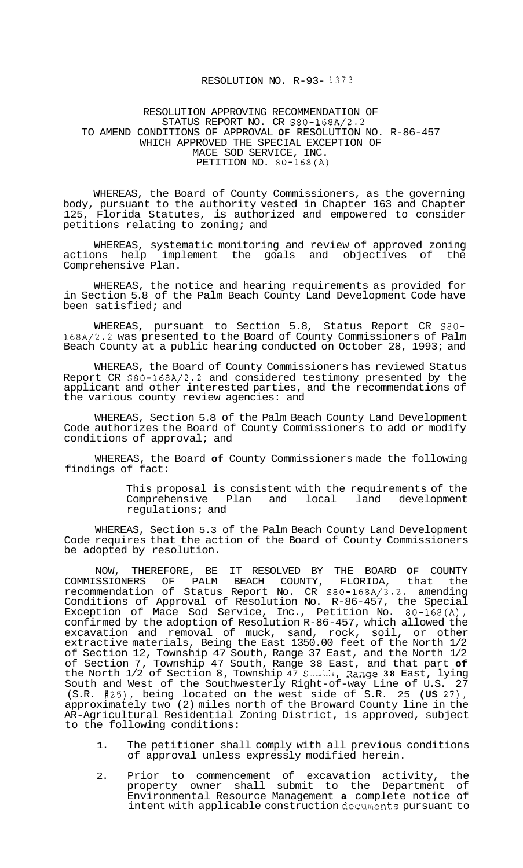## RESOLUTION NO. R-93- 1373

## RESOLUTION APPROVING RECOMMENDATION OF TO AMEND CONDITIONS OF APPROVAL **OF** RESOLUTION NO. R-86-457 WHICH APPROVED THE SPECIAL EXCEPTION OF MACE SOD SERVICE, INC. PETITION NO. 80-168(A) STATUS REPORT NO. CR S80-168A/2.2

WHEREAS, the Board of County Commissioners, as the governing body, pursuant to the authority vested in Chapter 163 and Chapter 125, Florida Statutes, is authorized and empowered to consider petitions relating to zoning; and

WHEREAS, systematic monitoring and review of approved zoning<br>Space help implement the goals and objectives of the actions help implement the goals and objectives of Comprehensive Plan.

WHEREAS, the notice and hearing requirements as provided for in Section 5.8 of the Palm Beach County Land Development Code have been satisfied; and

WHEREAS, pursuant to Section 5.8, Status Report CR S80- 168A/2.2 was presented to the Board of County Commissioners of Palm Beach County at a public hearing conducted on October 28, 1993; and

WHEREAS, the Board of County Commissioners has reviewed Status Report CR S80-168A/2.2 and considered testimony presented by the applicant and other interested parties, and the recommendations of the various county review agencies: and

WHEREAS, Section 5.8 of the Palm Beach County Land Development Code authorizes the Board of County Commissioners to add or modify conditions of approval; and

WHEREAS, the Board **of** County Commissioners made the following findings of fact:

> This proposal is consistent with the requirements of the Comprehensive Plan and local land development regulations; and

WHEREAS, Section 5.3 of the Palm Beach County Land Development Code requires that the action of the Board of County Commissioners be adopted by resolution.

NOW, THEREFORE, BE IT RESOLVED BY THE BOARD **OF** COUNTY COMMISSIONERS OF PALM BEACH COUNTY, FLORIDA, that the recommendation of Status Report No. CR S80-168A/2.2, amending Conditions of Approval of Resolution No. R-86-457, the Special Exception of Mace Sod Service, Inc., Petition No. 80-168(A), confirmed by the adoption of Resolution R-86-457, which allowed the excavation and removal of muck, sand, rock, soil, or other extractive materials, Being the East 1350.00 feet of the North 1/2 of Section 12, Township 47 South, Range 37 East, and the North 1/2 of Section 7, Township 47 South, Range 38 East, and that part **of**  the North 1/2 of Section 8, Township 47 Seath, Range 38 East, lying South and West of the Southwesterly Right-of-way Line of U.S. 27 (S.R. #25), being located on the west side of S.R. 25 **(US** 27), approximately two (2) miles north of the Broward County line in the AR-Agricultural Residential Zoning District, is approved, subject to the following conditions:

- 1. The petitioner shall comply with all previous conditions of approval unless expressly modified herein.
- 2. Prior to commencement of excavation activity, the property owner shall submit to the Department of Environmental Resource Management **a** complete notice of intent with applicable construction **documents** pursuant to